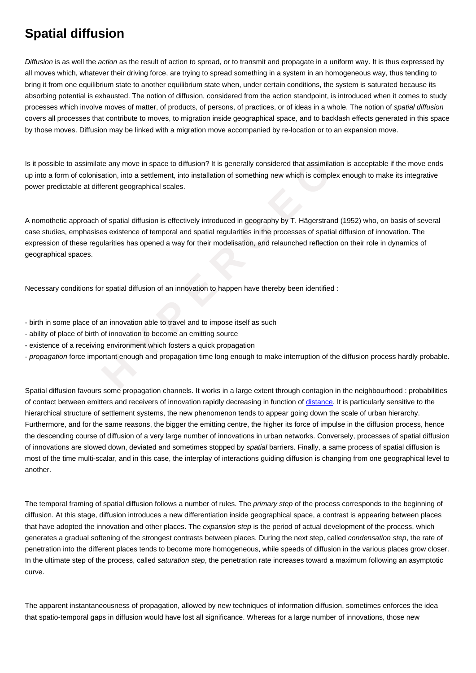Diffusion is as well the action as the result of action to spread, or to transmit and propagate in a uniform way. It is thus expressed by all moves which, whatever their driving force, are trying to spread something in a system in an homogeneous way, thus tending to bring it from one equilibrium state to another equilibrium state when, under certain conditions, the system is saturated because its absorbing potential is exhausted. The notion of diffusion, considered from the action standpoint, is introduced when it comes to study processes which involve moves of matter, of products, of persons, of practices, or of ideas in a whole. The notion of spatial diffusion covers all processes that contribute to moves, to migration inside geographical space, and to backlash effects generated in this space by those moves. Diffusion may be linked with a migration move accompanied by re-location or to an expansion move.

Is it possible to assimilate any move in space to diffusion? It is generally considered that assimilation is acceptable if the move ends up into a form of colonisation, into a settlement, into installation of something new which is complex enough to make its integrative power predictable at different geographical scales.

A nomothetic approach of spatial diffusion is effectively introduced in geography by T. Hägerstrand (1952) who, on basis of several case studies, emphasises existence of temporal and spatial regularities in the processes of spatial diffusion of innovation. The expression of these regularities has opened a way for their modelisation, and relaunched reflection on their role in dynamics of geographical spaces.

Necessary conditions for spatial diffusion of an innovation to happen have thereby been identified :

- birth in some place of an innovation able to travel and to impose itself as such
- ability of place of birth of innovation to become an emitting source

**Spatial diffusion**

- existence of a receiving environment which fosters a quick propagation
- propagation force important enough and propagation time long enough to make interruption of the diffusion process hardly probable.

**Exampliate any move in space to diffusion? It is generally considered that assimilation colonisation, into a settlement, into installation of something new which is complex e<br>at different geographical scales.<br>
<b>A** and the Spatial diffusion favours some propagation channels. It works in a large extent through contagion in the neighbourhood : probabilities of contact between emitters and receivers of innovation rapidly decreasing in function of distance. It is particularly sensitive to the hierarchical structure of settlement systems, the new phenomenon tends to appear going down the scale of urban hierarchy. Furthermore, and for the same reasons, the bigger the emitting centre, the higher its force of impulse in the diffusion process, hence the descending course of diffusion of a very large number of innovations in urban networks. Conversely, processes of spatial diffusion of innovations are slowed down, deviated and sometimes stopped by spatial barriers. Fi[nally, a sa](https://wiki.parisgeo.cnrs.fr/?p=54)me process of spatial diffusion is most of the time multi-scalar, and in this case, the interplay of interactions guiding diffusion is changing from one geographical level to another.

The temporal framing of spatial diffusion follows a number of rules. The *primary step* of the process corresponds to the beginning of diffusion. At this stage, diffusion introduces a new differentiation inside geographical space, a contrast is appearing between places that have adopted the innovation and other places. The expansion step is the period of actual development of the process, which generates a gradual softening of the strongest contrasts between places. During the next step, called condensation step, the rate of penetration into the different places tends to become more homogeneous, while speeds of diffusion in the various places grow closer. In the ultimate step of the process, called saturation step, the penetration rate increases toward a maximum following an asymptotic curve.

The apparent instantaneousness of propagation, allowed by new techniques of information diffusion, sometimes enforces the idea that spatio-temporal gaps in diffusion would have lost all significance. Whereas for a large number of innovations, those new